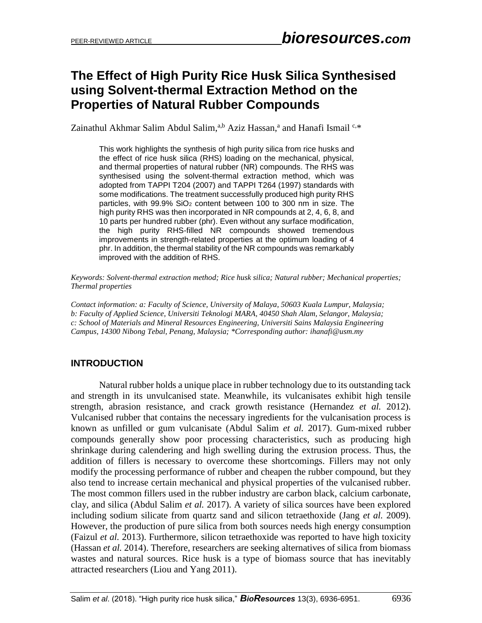# **The Effect of High Purity Rice Husk Silica Synthesised using Solvent-thermal Extraction Method on the Properties of Natural Rubber Compounds**

Zainathul Akhmar Salim Abdul Salim,<sup>a,b</sup> Aziz Hassan,<sup>a</sup> and Hanafi Ismail<sup>c,\*</sup>

This work highlights the synthesis of high purity silica from rice husks and the effect of rice husk silica (RHS) loading on the mechanical, physical, and thermal properties of natural rubber (NR) compounds. The RHS was synthesised using the solvent-thermal extraction method, which was adopted from TAPPI T204 (2007) and TAPPI T264 (1997) standards with some modifications. The treatment successfully produced high purity RHS particles, with  $99.9\%$  SiO<sub>2</sub> content between 100 to 300 nm in size. The high purity RHS was then incorporated in NR compounds at 2, 4, 6, 8, and 10 parts per hundred rubber (phr). Even without any surface modification, the high purity RHS-filled NR compounds showed tremendous improvements in strength-related properties at the optimum loading of 4 phr. In addition, the thermal stability of the NR compounds was remarkably improved with the addition of RHS.

*Keywords: Solvent-thermal extraction method; Rice husk silica; Natural rubber; Mechanical properties; Thermal properties*

*Contact information: a: Faculty of Science, University of Malaya, 50603 Kuala Lumpur, Malaysia; b: Faculty of Applied Science, Universiti Teknologi MARA, 40450 Shah Alam, Selangor, Malaysia; c: School of Materials and Mineral Resources Engineering, Universiti Sains Malaysia Engineering Campus, 14300 Nibong Tebal, Penang, Malaysia; \*Corresponding author: ihanafi@usm.my*

## **INTRODUCTION**

Natural rubber holds a unique place in rubber technology due to its outstanding tack and strength in its unvulcanised state. Meanwhile, its vulcanisates exhibit high tensile strength, abrasion resistance, and crack growth resistance (Hernandez *et al.* 2012). Vulcanised rubber that contains the necessary ingredients for the vulcanisation process is known as unfilled or gum vulcanisate (Abdul Salim *et al.* 2017). Gum-mixed rubber compounds generally show poor processing characteristics, such as producing high shrinkage during calendering and high swelling during the extrusion process. Thus, the addition of fillers is necessary to overcome these shortcomings. Fillers may not only modify the processing performance of rubber and cheapen the rubber compound, but they also tend to increase certain mechanical and physical properties of the vulcanised rubber. The most common fillers used in the rubber industry are carbon black, calcium carbonate, clay, and silica (Abdul Salim *et al.* 2017). A variety of silica sources have been explored including sodium silicate from quartz sand and silicon tetraethoxide (Jang *et al.* 2009). However, the production of pure silica from both sources needs high energy consumption (Faizul *et al.* 2013). Furthermore, silicon tetraethoxide was reported to have high toxicity (Hassan *et al.* 2014). Therefore, researchers are seeking alternatives of silica from biomass wastes and natural sources. Rice husk is a type of biomass source that has inevitably attracted researchers (Liou and Yang 2011).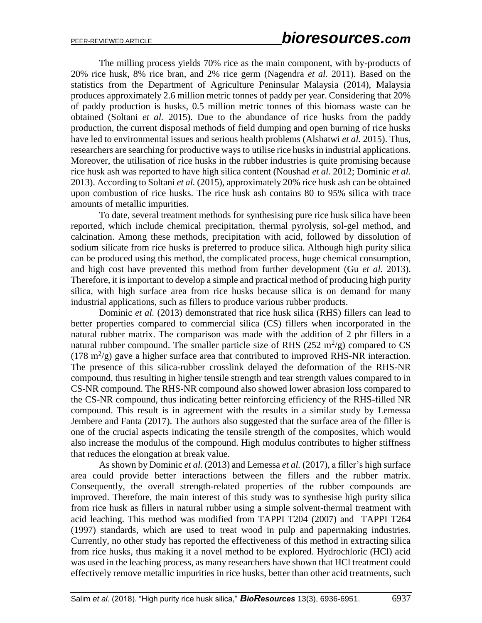The milling process yields 70% rice as the main component, with by-products of 20% rice husk, 8% rice bran, and 2% rice germ (Nagendra *et al.* 2011). Based on the statistics from the Department of Agriculture Peninsular Malaysia (2014), Malaysia produces approximately 2.6 million metric tonnes of paddy per year. Considering that 20% of paddy production is husks, 0.5 million metric tonnes of this biomass waste can be obtained (Soltani *et al.* 2015). Due to the abundance of rice husks from the paddy production, the current disposal methods of field dumping and open burning of rice husks have led to environmental issues and serious health problems (Alshatwi *et al.* 2015). Thus, researchers are searching for productive ways to utilise rice husks in industrial applications. Moreover, the utilisation of rice husks in the rubber industries is quite promising because rice husk ash was reported to have high silica content (Noushad *et al.* 2012; Dominic *et al.* 2013). According to Soltani *et al.* (2015), approximately 20% rice husk ash can be obtained upon combustion of rice husks. The rice husk ash contains 80 to 95% silica with trace amounts of metallic impurities.

To date, several treatment methods for synthesising pure rice husk silica have been reported, which include chemical precipitation, thermal pyrolysis, sol-gel method, and calcination. Among these methods, precipitation with acid, followed by dissolution of sodium silicate from rice husks is preferred to produce silica. Although high purity silica can be produced using this method, the complicated process, huge chemical consumption, and high cost have prevented this method from further development (Gu *et al.* 2013). Therefore, it is important to develop a simple and practical method of producing high purity silica, with high surface area from rice husks because silica is on demand for many industrial applications, such as fillers to produce various rubber products.

Dominic *et al.* (2013) demonstrated that rice husk silica (RHS) fillers can lead to better properties compared to commercial silica (CS) fillers when incorporated in the natural rubber matrix. The comparison was made with the addition of 2 phr fillers in a natural rubber compound. The smaller particle size of RHS  $(252 \text{ m}^2/\text{g})$  compared to CS (178 m<sup>2</sup>/g) gave a higher surface area that contributed to improved RHS-NR interaction. The presence of this silica-rubber crosslink delayed the deformation of the RHS-NR compound, thus resulting in higher tensile strength and tear strength values compared to in CS-NR compound. The RHS-NR compound also showed lower abrasion loss compared to the CS-NR compound, thus indicating better reinforcing efficiency of the RHS-filled NR compound. This result is in agreement with the results in a similar study by Lemessa Jembere and Fanta (2017). The authors also suggested that the surface area of the filler is one of the crucial aspects indicating the tensile strength of the composites, which would also increase the modulus of the compound. High modulus contributes to higher stiffness that reduces the elongation at break value.

As shown by Dominic *et al.* (2013) and Lemessa *et al.* (2017), a filler's high surface area could provide better interactions between the fillers and the rubber matrix. Consequently, the overall strength-related properties of the rubber compounds are improved. Therefore, the main interest of this study was to synthesise high purity silica from rice husk as fillers in natural rubber using a simple solvent-thermal treatment with acid leaching. This method was modified from TAPPI T204 (2007) and TAPPI T264 (1997) standards, which are used to treat wood in pulp and papermaking industries. Currently, no other study has reported the effectiveness of this method in extracting silica from rice husks, thus making it a novel method to be explored. Hydrochloric (HCl) acid was used in the leaching process, as many researchers have shown that HCl treatment could effectively remove metallic impurities in rice husks, better than other acid treatments, such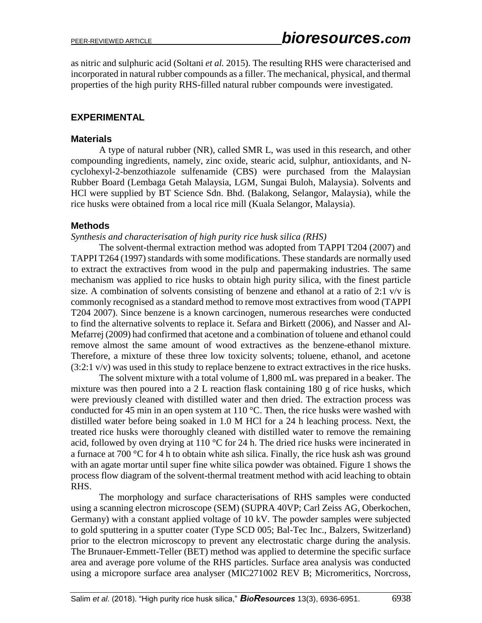as nitric and sulphuric acid (Soltani *et al.* 2015). The resulting RHS were characterised and incorporated in natural rubber compounds as a filler. The mechanical, physical, and thermal properties of the high purity RHS-filled natural rubber compounds were investigated.

#### **EXPERIMENTAL**

#### **Materials**

A type of natural rubber (NR), called SMR L, was used in this research, and other compounding ingredients, namely, zinc oxide, stearic acid, sulphur, antioxidants, and Ncyclohexyl-2-benzothiazole sulfenamide (CBS) were purchased from the Malaysian Rubber Board (Lembaga Getah Malaysia, LGM, Sungai Buloh, Malaysia). Solvents and HCl were supplied by BT Science Sdn. Bhd. (Balakong, Selangor, Malaysia), while the rice husks were obtained from a local rice mill (Kuala Selangor, Malaysia).

#### **Methods**

*Synthesis and characterisation of high purity rice husk silica (RHS)*

The solvent-thermal extraction method was adopted from TAPPI T204 (2007) and TAPPI T264 (1997) standards with some modifications. These standards are normally used to extract the extractives from wood in the pulp and papermaking industries. The same mechanism was applied to rice husks to obtain high purity silica, with the finest particle size. A combination of solvents consisting of benzene and ethanol at a ratio of 2:1 v/v is commonly recognised as a standard method to remove most extractives from wood (TAPPI T204 2007). Since benzene is a known carcinogen, numerous researches were conducted to find the alternative solvents to replace it. Sefara and Birkett (2006), and Nasser and Al-Mefarrej (2009) had confirmed that acetone and a combination of toluene and ethanol could remove almost the same amount of wood extractives as the benzene-ethanol mixture. Therefore, a mixture of these three low toxicity solvents; toluene, ethanol, and acetone  $(3:2:1 \text{ v/v})$  was used in this study to replace benzene to extract extractives in the rice husks.

The solvent mixture with a total volume of 1,800 mL was prepared in a beaker. The mixture was then poured into a 2 L reaction flask containing 180 g of rice husks, which were previously cleaned with distilled water and then dried. The extraction process was conducted for 45 min in an open system at 110  $^{\circ}$ C. Then, the rice husks were washed with distilled water before being soaked in 1.0 M HCl for a 24 h leaching process. Next, the treated rice husks were thoroughly cleaned with distilled water to remove the remaining acid, followed by oven drying at 110 °C for 24 h. The dried rice husks were incinerated in a furnace at 700 °C for 4 h to obtain white ash silica. Finally, the rice husk ash was ground with an agate mortar until super fine white silica powder was obtained. Figure 1 shows the process flow diagram of the solvent-thermal treatment method with acid leaching to obtain RHS.

The morphology and surface characterisations of RHS samples were conducted using a scanning electron microscope (SEM) (SUPRA 40VP; Carl Zeiss AG, Oberkochen, Germany) with a constant applied voltage of 10 kV. The powder samples were subjected to gold sputtering in a sputter coater (Type SCD 005; Bal-Tec Inc., Balzers, Switzerland) prior to the electron microscopy to prevent any electrostatic charge during the analysis. The Brunauer-Emmett-Teller (BET) method was applied to determine the specific surface area and average pore volume of the RHS particles. Surface area analysis was conducted using a micropore surface area analyser (MIC271002 REV B; Micromeritics, Norcross,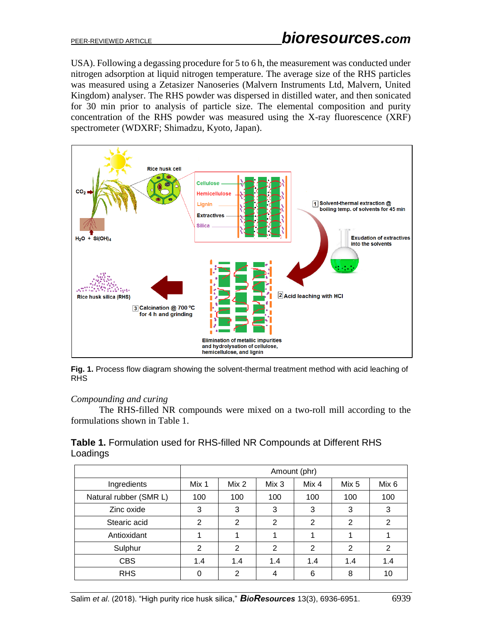USA). Following a degassing procedure for 5 to 6 h, the measurement was conducted under nitrogen adsorption at liquid nitrogen temperature. The average size of the RHS particles was measured using a Zetasizer Nanoseries (Malvern Instruments Ltd, Malvern, United Kingdom) analyser. The RHS powder was dispersed in distilled water, and then sonicated for 30 min prior to analysis of particle size. The elemental composition and purity concentration of the RHS powder was measured using the X-ray fluorescence (XRF) spectrometer (WDXRF; Shimadzu, Kyoto, Japan).



**Fig. 1.** Process flow diagram showing the solvent-thermal treatment method with acid leaching of RHS

#### *Compounding and curing*

The RHS-filled NR compounds were mixed on a two-roll mill according to the formulations shown in Table 1.

| Table 1. Formulation used for RHS-filled NR Compounds at Different RHS |  |
|------------------------------------------------------------------------|--|
| Loadings                                                               |  |

|                        | Amount (phr)   |                |       |                |       |       |
|------------------------|----------------|----------------|-------|----------------|-------|-------|
| Ingredients            | Mix 1          | Mix 2          | Mix 3 | Mix 4          | Mix 5 | Mix 6 |
| Natural rubber (SMR L) | 100            | 100            | 100   | 100            | 100   | 100   |
| Zinc oxide             | 3              | 3              | 3     | 3              | 3     | 3     |
| Stearic acid           | 2              | 2              | 2     | 2              | 2     | 2     |
| Antioxidant            |                |                |       |                |       |       |
| Sulphur                | $\overline{2}$ | $\overline{2}$ | 2     | $\overline{2}$ | 2     | 2     |
| <b>CBS</b>             | 1.4            | 1.4            | 1.4   | 1.4            | 1.4   | 1.4   |
| <b>RHS</b>             |                | 2              | 4     | 6              | 8     | 10    |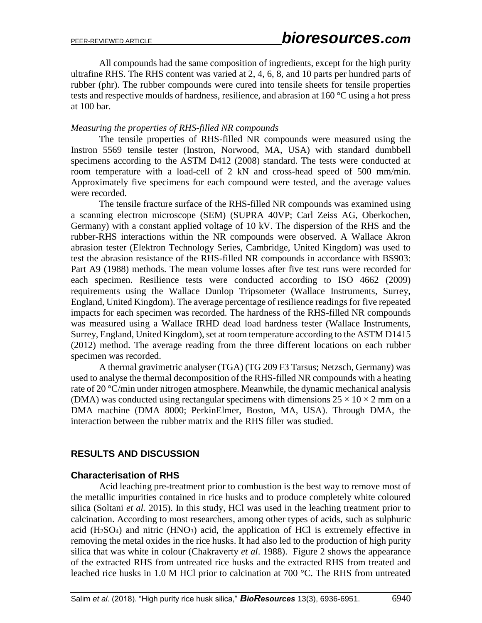All compounds had the same composition of ingredients, except for the high purity ultrafine RHS. The RHS content was varied at 2, 4, 6, 8, and 10 parts per hundred parts of rubber (phr). The rubber compounds were cured into tensile sheets for tensile properties tests and respective moulds of hardness, resilience, and abrasion at 160 °C using a hot press at 100 bar.

#### *Measuring the properties of RHS-filled NR compounds*

The tensile properties of RHS-filled NR compounds were measured using the Instron 5569 tensile tester (Instron, Norwood, MA, USA) with standard dumbbell specimens according to the ASTM D412 (2008) standard. The tests were conducted at room temperature with a load-cell of 2 kN and cross-head speed of 500 mm/min. Approximately five specimens for each compound were tested, and the average values were recorded.

The tensile fracture surface of the RHS-filled NR compounds was examined using a scanning electron microscope (SEM) (SUPRA 40VP; Carl Zeiss AG, Oberkochen, Germany) with a constant applied voltage of 10 kV. The dispersion of the RHS and the rubber-RHS interactions within the NR compounds were observed. A Wallace Akron abrasion tester (Elektron Technology Series, Cambridge, United Kingdom) was used to test the abrasion resistance of the RHS-filled NR compounds in accordance with BS903: Part A9 (1988) methods. The mean volume losses after five test runs were recorded for each specimen. Resilience tests were conducted according to ISO 4662 (2009) requirements using the Wallace Dunlop Tripsometer (Wallace Instruments, Surrey, England, United Kingdom). The average percentage of resilience readings for five repeated impacts for each specimen was recorded. The hardness of the RHS-filled NR compounds was measured using a Wallace IRHD dead load hardness tester (Wallace Instruments, Surrey, England, United Kingdom), set at room temperature according to the ASTM D1415 (2012) method. The average reading from the three different locations on each rubber specimen was recorded.

A thermal gravimetric analyser (TGA) (TG 209 F3 Tarsus; Netzsch, Germany) was used to analyse the thermal decomposition of the RHS-filled NR compounds with a heating rate of 20 °C/min under nitrogen atmosphere. Meanwhile, the dynamic mechanical analysis (DMA) was conducted using rectangular specimens with dimensions  $25 \times 10 \times 2$  mm on a DMA machine (DMA 8000; PerkinElmer, Boston, MA, USA). Through DMA, the interaction between the rubber matrix and the RHS filler was studied.

## **RESULTS AND DISCUSSION**

#### **Characterisation of RHS**

Acid leaching pre-treatment prior to combustion is the best way to remove most of the metallic impurities contained in rice husks and to produce completely white coloured silica (Soltani *et al.* 2015). In this study, HCl was used in the leaching treatment prior to calcination. According to most researchers, among other types of acids, such as sulphuric acid  $(H<sub>2</sub>SO<sub>4</sub>)$  and nitric  $(HNO<sub>3</sub>)$  acid, the application of HCl is extremely effective in removing the metal oxides in the rice husks. It had also led to the production of high purity silica that was white in colour (Chakraverty *et al*. 1988). Figure 2 shows the appearance of the extracted RHS from untreated rice husks and the extracted RHS from treated and leached rice husks in 1.0 M HCl prior to calcination at 700 °C. The RHS from untreated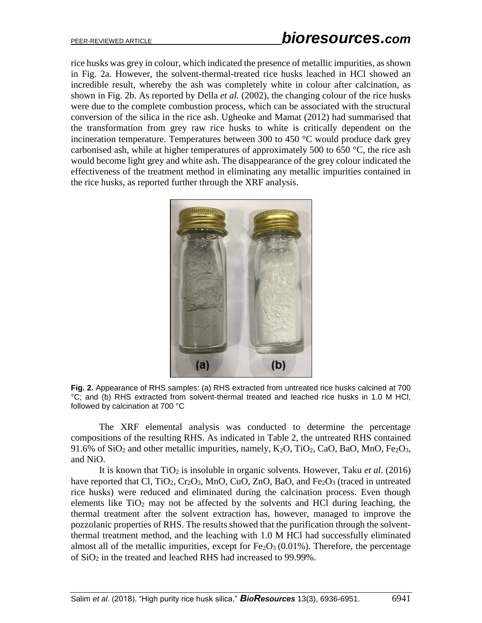rice husks was grey in colour, which indicated the presence of metallic impurities, as shown in Fig. 2a. However, the solvent-thermal-treated rice husks leached in HCl showed an incredible result, whereby the ash was completely white in colour after calcination, as shown in Fig. 2b. As reported by Della *et al.* (2002), the changing colour of the rice husks were due to the complete combustion process, which can be associated with the structural conversion of the silica in the rice ash. Ugheoke and Mamat (2012) had summarised that the transformation from grey raw rice husks to white is critically dependent on the incineration temperature. Temperatures between 300 to 450 °C would produce dark grey carbonised ash, while at higher temperatures of approximately 500 to 650  $\degree$ C, the rice ash would become light grey and white ash. The disappearance of the grey colour indicated the effectiveness of the treatment method in eliminating any metallic impurities contained in the rice husks, as reported further through the XRF analysis.



**Fig. 2.** Appearance of RHS samples: (a) RHS extracted from untreated rice husks calcined at 700 °C; and (b) RHS extracted from solvent-thermal treated and leached rice husks in 1.0 M HCl, followed by calcination at 700 °C

The XRF elemental analysis was conducted to determine the percentage compositions of the resulting RHS. As indicated in Table 2, the untreated RHS contained 91.6% of  $SiO_2$  and other metallic impurities, namely,  $K_2O$ ,  $TiO_2$ , CaO, BaO, MnO, Fe<sub>2</sub>O<sub>3</sub>, and NiO.

It is known that TiO<sub>2</sub> is insoluble in organic solvents. However, Taku *et al.* (2016) have reported that Cl,  $TiO_2$ ,  $Cr_2O_3$ , MnO, CuO, ZnO, BaO, and Fe<sub>2</sub>O<sub>3</sub> (traced in untreated rice husks) were reduced and eliminated during the calcination process. Even though elements like  $TiO<sub>2</sub>$  may not be affected by the solvents and HCl during leaching, the thermal treatment after the solvent extraction has, however, managed to improve the pozzolanic properties of RHS. The results showed that the purification through the solventthermal treatment method, and the leaching with 1.0 M HCl had successfully eliminated almost all of the metallic impurities, except for  $Fe<sub>2</sub>O<sub>3</sub>(0.01%)$ . Therefore, the percentage of SiO<sup>2</sup> in the treated and leached RHS had increased to 99.99%.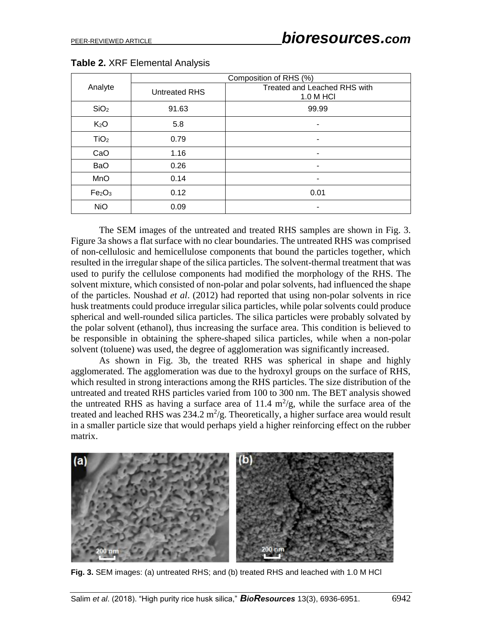|                                | Composition of RHS (%) |                                           |  |  |  |
|--------------------------------|------------------------|-------------------------------------------|--|--|--|
| Analyte                        | <b>Untreated RHS</b>   | Treated and Leached RHS with<br>1.0 M HCI |  |  |  |
| SiO <sub>2</sub>               | 91.63                  | 99.99                                     |  |  |  |
| K <sub>2</sub> O               | 5.8                    | ٠                                         |  |  |  |
| TiO <sub>2</sub>               | 0.79                   | ٠                                         |  |  |  |
| CaO                            | 1.16                   | ٠                                         |  |  |  |
| <b>BaO</b>                     | 0.26                   | ٠                                         |  |  |  |
| MnO                            | 0.14                   | ۰                                         |  |  |  |
| Fe <sub>2</sub> O <sub>3</sub> | 0.12                   | 0.01                                      |  |  |  |
| <b>NiO</b>                     | 0.09                   | -                                         |  |  |  |

**Table 2.** XRF Elemental Analysis

The SEM images of the untreated and treated RHS samples are shown in Fig. 3. Figure 3a shows a flat surface with no clear boundaries. The untreated RHS was comprised of non-cellulosic and hemicellulose components that bound the particles together, which resulted in the irregular shape of the silica particles. The solvent-thermal treatment that was used to purify the cellulose components had modified the morphology of the RHS. The solvent mixture, which consisted of non-polar and polar solvents, had influenced the shape of the particles. Noushad *et al*. (2012) had reported that using non-polar solvents in rice husk treatments could produce irregular silica particles, while polar solvents could produce spherical and well-rounded silica particles. The silica particles were probably solvated by the polar solvent (ethanol), thus increasing the surface area. This condition is believed to be responsible in obtaining the sphere-shaped silica particles, while when a non-polar solvent (toluene) was used, the degree of agglomeration was significantly increased.

As shown in Fig. 3b, the treated RHS was spherical in shape and highly agglomerated. The agglomeration was due to the hydroxyl groups on the surface of RHS, which resulted in strong interactions among the RHS particles. The size distribution of the untreated and treated RHS particles varied from 100 to 300 nm. The BET analysis showed the untreated RHS as having a surface area of 11.4  $\text{m}^2/\text{g}$ , while the surface area of the treated and leached RHS was  $234.2 \text{ m}^2/\text{g}$ . Theoretically, a higher surface area would result in a smaller particle size that would perhaps yield a higher reinforcing effect on the rubber matrix.



**Fig. 3.** SEM images: (a) untreated RHS; and (b) treated RHS and leached with 1.0 M HCl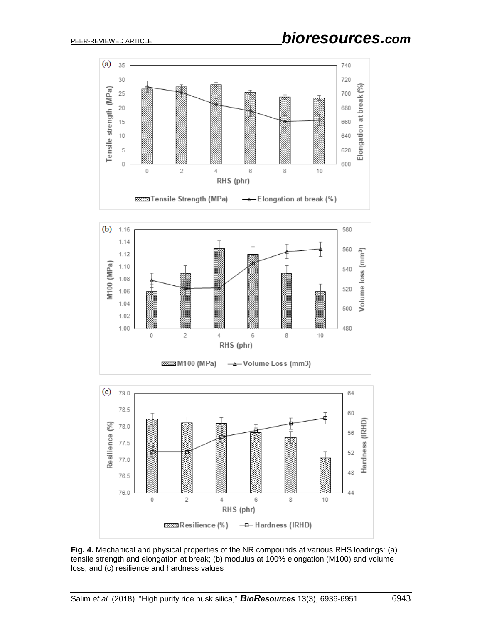$\mathbf 0$ 

 $\sqrt{2}$ 

2222223 M100 (MPa)





6

-A-Volume Loss (mm3)

RHS (phr)

4

8

 $10$ 

**Fig. 4.** Mechanical and physical properties of the NR compounds at various RHS loadings: (a) tensile strength and elongation at break; (b) modulus at 100% elongation (M100) and volume loss; and (c) resilience and hardness values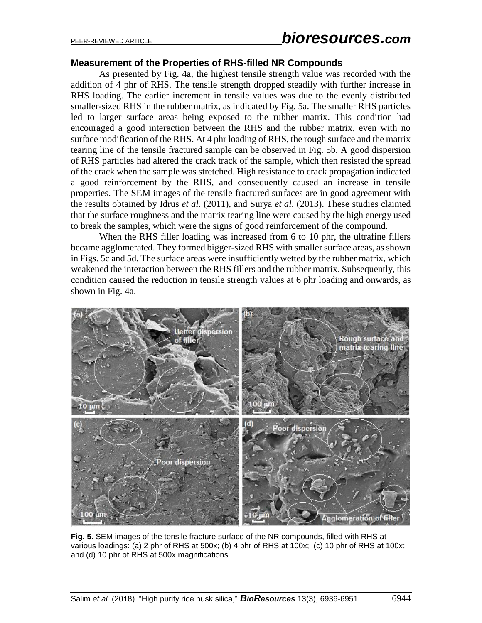# PEER-REVIEWED ARTICLE *bioresources.com*

#### **Measurement of the Properties of RHS-filled NR Compounds**

As presented by Fig. 4a, the highest tensile strength value was recorded with the addition of 4 phr of RHS. The tensile strength dropped steadily with further increase in RHS loading. The earlier increment in tensile values was due to the evenly distributed smaller-sized RHS in the rubber matrix, as indicated by Fig. 5a. The smaller RHS particles led to larger surface areas being exposed to the rubber matrix. This condition had encouraged a good interaction between the RHS and the rubber matrix, even with no surface modification of the RHS. At 4 phr loading of RHS, the rough surface and the matrix tearing line of the tensile fractured sample can be observed in Fig. 5b. A good dispersion of RHS particles had altered the crack track of the sample, which then resisted the spread of the crack when the sample was stretched. High resistance to crack propagation indicated a good reinforcement by the RHS, and consequently caused an increase in tensile properties. The SEM images of the tensile fractured surfaces are in good agreement with the results obtained by Idrus *et al.* (2011), and Surya *et al*. (2013). These studies claimed that the surface roughness and the matrix tearing line were caused by the high energy used to break the samples, which were the signs of good reinforcement of the compound.

When the RHS filler loading was increased from 6 to 10 phr, the ultrafine fillers became agglomerated. They formed bigger-sized RHS with smaller surface areas, as shown in Figs. 5c and 5d. The surface areas were insufficiently wetted by the rubber matrix, which weakened the interaction between the RHS fillers and the rubber matrix. Subsequently, this condition caused the reduction in tensile strength values at 6 phr loading and onwards, as shown in Fig. 4a.



**Fig. 5.** SEM images of the tensile fracture surface of the NR compounds, filled with RHS at various loadings: (a) 2 phr of RHS at 500x; (b) 4 phr of RHS at 100x; (c) 10 phr of RHS at 100x; and (d) 10 phr of RHS at 500x magnifications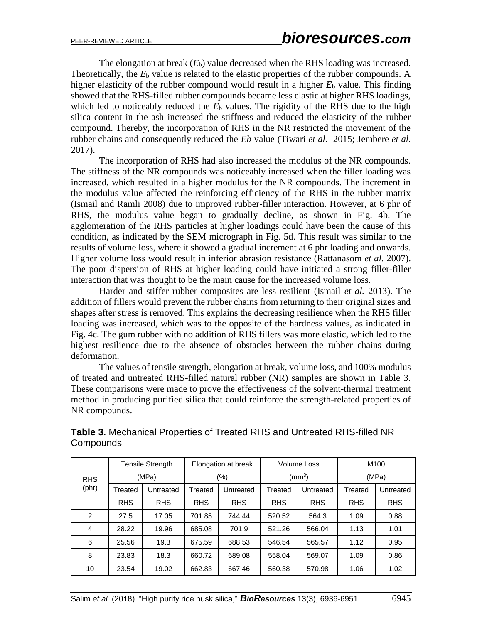The elongation at break  $(E_b)$  value decreased when the RHS loading was increased. Theoretically, the  $E<sub>b</sub>$  value is related to the elastic properties of the rubber compounds. A higher elasticity of the rubber compound would result in a higher  $E<sub>b</sub>$  value. This finding showed that the RHS-filled rubber compounds became less elastic at higher RHS loadings, which led to noticeably reduced the  $E<sub>b</sub>$  values. The rigidity of the RHS due to the high silica content in the ash increased the stiffness and reduced the elasticity of the rubber compound. Thereby, the incorporation of RHS in the NR restricted the movement of the rubber chains and consequently reduced the *Eb* value (Tiwari *et al.* 2015; Jembere *et al.* 2017).

The incorporation of RHS had also increased the modulus of the NR compounds. The stiffness of the NR compounds was noticeably increased when the filler loading was increased, which resulted in a higher modulus for the NR compounds. The increment in the modulus value affected the reinforcing efficiency of the RHS in the rubber matrix (Ismail and Ramli 2008) due to improved rubber-filler interaction. However, at 6 phr of RHS, the modulus value began to gradually decline, as shown in Fig. 4b. The agglomeration of the RHS particles at higher loadings could have been the cause of this condition, as indicated by the SEM micrograph in Fig. 5d. This result was similar to the results of volume loss, where it showed a gradual increment at 6 phr loading and onwards. Higher volume loss would result in inferior abrasion resistance (Rattanasom *et al.* 2007). The poor dispersion of RHS at higher loading could have initiated a strong filler-filler interaction that was thought to be the main cause for the increased volume loss.

Harder and stiffer rubber composites are less resilient (Ismail *et al.* 2013). The addition of fillers would prevent the rubber chains from returning to their original sizes and shapes after stress is removed. This explains the decreasing resilience when the RHS filler loading was increased, which was to the opposite of the hardness values, as indicated in Fig. 4c. The gum rubber with no addition of RHS fillers was more elastic, which led to the highest resilience due to the absence of obstacles between the rubber chains during deformation.

The values of tensile strength, elongation at break, volume loss, and 100% modulus of treated and untreated RHS-filled natural rubber (NR) samples are shown in Table 3. These comparisons were made to prove the effectiveness of the solvent-thermal treatment method in producing purified silica that could reinforce the strength-related properties of NR compounds.

|                | <b>Tensile Strength</b> |                                 | Elongation at break |            | Volume Loss |            | M <sub>100</sub> |            |  |
|----------------|-------------------------|---------------------------------|---------------------|------------|-------------|------------|------------------|------------|--|
| <b>RHS</b>     |                         | (MPa)<br>$(\%)$<br>(mm $^{3}$ ) |                     |            |             |            |                  | (MPa)      |  |
| (phr)          | Treated                 | Untreated                       | Treated             | Untreated  | Treated     | Untreated  | Treated          | Untreated  |  |
|                | <b>RHS</b>              | <b>RHS</b>                      | <b>RHS</b>          | <b>RHS</b> | <b>RHS</b>  | <b>RHS</b> | <b>RHS</b>       | <b>RHS</b> |  |
| $\overline{2}$ | 27.5                    | 17.05                           | 701.85              | 744.44     | 520.52      | 564.3      | 1.09             | 0.88       |  |
| 4              | 28.22                   | 19.96                           | 685.08              | 701.9      | 521.26      | 566.04     | 1.13             | 1.01       |  |
| 6              | 25.56                   | 19.3                            | 675.59              | 688.53     | 546.54      | 565.57     | 1.12             | 0.95       |  |
| 8              | 23.83                   | 18.3                            | 660.72              | 689.08     | 558.04      | 569.07     | 1.09             | 0.86       |  |
| 10             | 23.54                   | 19.02                           | 662.83              | 667.46     | 560.38      | 570.98     | 1.06             | 1.02       |  |

## **Table 3.** Mechanical Properties of Treated RHS and Untreated RHS-filled NR **Compounds**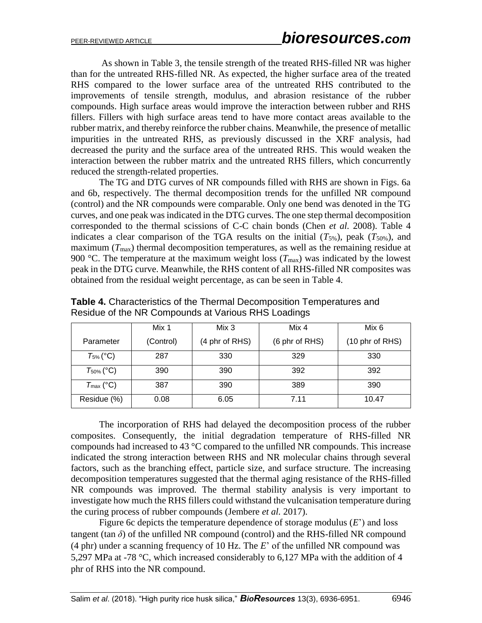As shown in Table 3, the tensile strength of the treated RHS-filled NR was higher than for the untreated RHS-filled NR. As expected, the higher surface area of the treated RHS compared to the lower surface area of the untreated RHS contributed to the improvements of tensile strength, modulus, and abrasion resistance of the rubber compounds. High surface areas would improve the interaction between rubber and RHS fillers. Fillers with high surface areas tend to have more contact areas available to the rubber matrix, and thereby reinforce the rubber chains. Meanwhile, the presence of metallic impurities in the untreated RHS, as previously discussed in the XRF analysis, had decreased the purity and the surface area of the untreated RHS. This would weaken the interaction between the rubber matrix and the untreated RHS fillers, which concurrently reduced the strength-related properties.

The TG and DTG curves of NR compounds filled with RHS are shown in Figs. 6a and 6b, respectively. The thermal decomposition trends for the unfilled NR compound (control) and the NR compounds were comparable. Only one bend was denoted in the TG curves, and one peak was indicated in the DTG curves. The one step thermal decomposition corresponded to the thermal scissions of C-C chain bonds (Chen *et al.* 2008). Table 4 indicates a clear comparison of the TGA results on the initial  $(T_{5\%})$ , peak  $(T_{50\%})$ , and maximum ( $T_{\text{max}}$ ) thermal decomposition temperatures, as well as the remaining residue at 900 °C. The temperature at the maximum weight loss  $(T_{\text{max}})$  was indicated by the lowest peak in the DTG curve. Meanwhile, the RHS content of all RHS-filled NR composites was obtained from the residual weight percentage, as can be seen in Table 4.

|                       | Mix 1     | Mix 3          | Mix 4          | Mix 6           |
|-----------------------|-----------|----------------|----------------|-----------------|
| Parameter             | (Control) | (4 phr of RHS) | (6 phr of RHS) | (10 phr of RHS) |
| $T_{5\%}$ (°C)        | 287       | 330            | 329            | 330             |
| $T_{50\%}$ (°C)       | 390       | 390            | 392            | 392             |
| $T_{\text{max}}$ (°C) | 387       | 390            | 389            | 390             |
| Residue (%)           | 0.08      | 6.05           | 7.11           | 10.47           |

**Table 4.** Characteristics of the Thermal Decomposition Temperatures and Residue of the NR Compounds at Various RHS Loadings

The incorporation of RHS had delayed the decomposition process of the rubber composites. Consequently, the initial degradation temperature of RHS-filled NR compounds had increased to 43 °C compared to the unfilled NR compounds. This increase indicated the strong interaction between RHS and NR molecular chains through several factors, such as the branching effect, particle size, and surface structure. The increasing decomposition temperatures suggested that the thermal aging resistance of the RHS-filled NR compounds was improved. The thermal stability analysis is very important to investigate how much the RHS fillers could withstand the vulcanisation temperature during the curing process of rubber compounds (Jembere *et al.* 2017).

Figure 6c depicts the temperature dependence of storage modulus (*E*') and loss tangent (tan  $\delta$ ) of the unfilled NR compound (control) and the RHS-filled NR compound (4 phr) under a scanning frequency of 10 Hz. The *E*' of the unfilled NR compound was 5,297 MPa at -78 °C, which increased considerably to 6,127 MPa with the addition of 4 phr of RHS into the NR compound.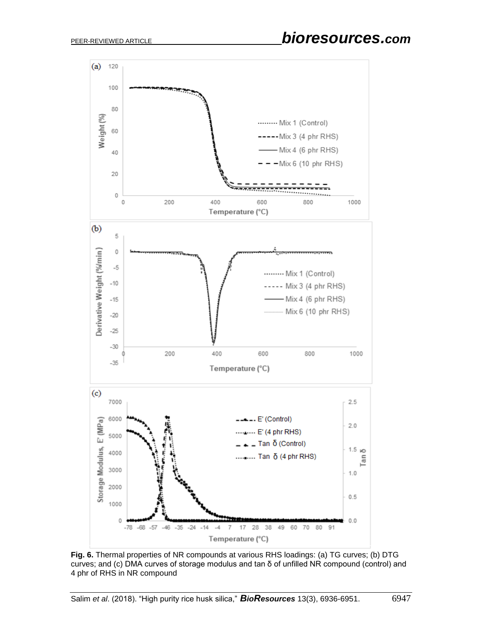

**Fig. 6.** Thermal properties of NR compounds at various RHS loadings: (a) TG curves; (b) DTG curves; and (c) DMA curves of storage modulus and tan δ of unfilled NR compound (control) and 4 phr of RHS in NR compound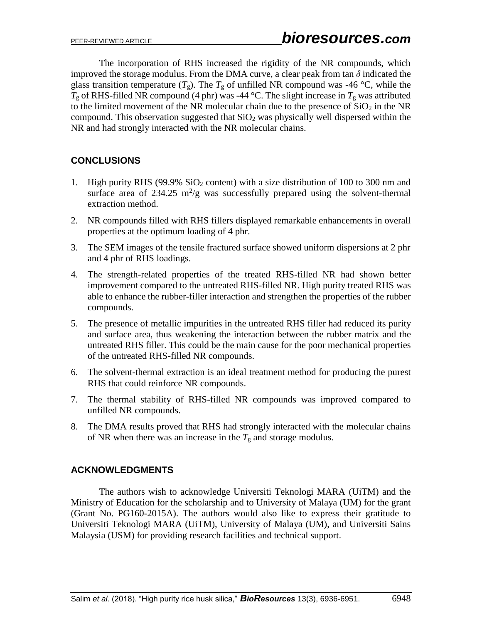The incorporation of RHS increased the rigidity of the NR compounds, which improved the storage modulus. From the DMA curve, a clear peak from tan  $\delta$  indicated the glass transition temperature  $(T_g)$ . The  $T_g$  of unfilled NR compound was -46 °C, while the  $T_g$  of RHS-filled NR compound (4 phr) was -44 °C. The slight increase in  $T_g$  was attributed to the limited movement of the NR molecular chain due to the presence of  $SiO<sub>2</sub>$  in the NR compound. This observation suggested that  $SiO<sub>2</sub>$  was physically well dispersed within the NR and had strongly interacted with the NR molecular chains.

# **CONCLUSIONS**

- 1. High purity RHS (99.9%  $SiO<sub>2</sub>$  content) with a size distribution of 100 to 300 nm and surface area of 234.25  $m^2/g$  was successfully prepared using the solvent-thermal extraction method.
- 2. NR compounds filled with RHS fillers displayed remarkable enhancements in overall properties at the optimum loading of 4 phr.
- 3. The SEM images of the tensile fractured surface showed uniform dispersions at 2 phr and 4 phr of RHS loadings.
- 4. The strength-related properties of the treated RHS-filled NR had shown better improvement compared to the untreated RHS-filled NR. High purity treated RHS was able to enhance the rubber-filler interaction and strengthen the properties of the rubber compounds.
- 5. The presence of metallic impurities in the untreated RHS filler had reduced its purity and surface area, thus weakening the interaction between the rubber matrix and the untreated RHS filler. This could be the main cause for the poor mechanical properties of the untreated RHS-filled NR compounds.
- 6. The solvent-thermal extraction is an ideal treatment method for producing the purest RHS that could reinforce NR compounds.
- 7. The thermal stability of RHS-filled NR compounds was improved compared to unfilled NR compounds.
- 8. The DMA results proved that RHS had strongly interacted with the molecular chains of NR when there was an increase in the  $T_g$  and storage modulus.

## **ACKNOWLEDGMENTS**

The authors wish to acknowledge Universiti Teknologi MARA (UiTM) and the Ministry of Education for the scholarship and to University of Malaya (UM) for the grant (Grant No. PG160-2015A). The authors would also like to express their gratitude to Universiti Teknologi MARA (UiTM), University of Malaya (UM), and Universiti Sains Malaysia (USM) for providing research facilities and technical support.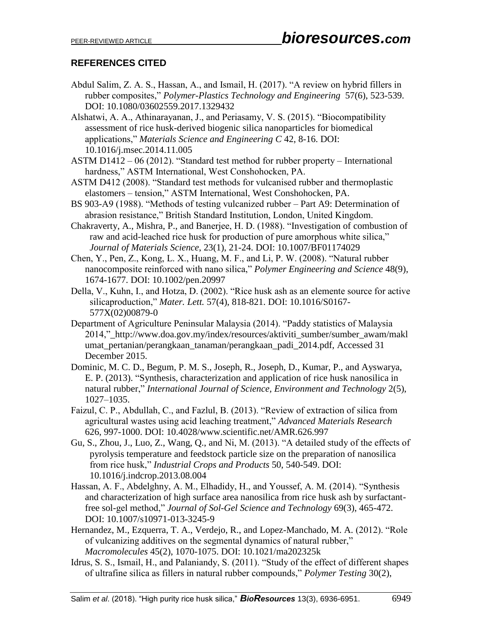# **REFERENCES CITED**

- Abdul Salim, Z. A. S., Hassan, A., and Ismail, H. (2017). "A review on hybrid fillers in rubber composites," *Polymer-Plastics Technology and Engineering* 57(6), 523-539. DOI: 10.1080/03602559.2017.1329432
- Alshatwi, A. A., Athinarayanan, J., and Periasamy, V. S. (2015). "Biocompatibility assessment of rice husk-derived biogenic silica nanoparticles for biomedical applications," *Materials Science and Engineering C* 42, 8-16. DOI: 10.1016/j.msec.2014.11.005
- ASTM D1412 06 (2012). "Standard test method for rubber property International hardness," ASTM International, West Conshohocken, PA.
- ASTM D412 (2008). "Standard test methods for vulcanised rubber and thermoplastic elastomers – tension," ASTM International, West Conshohocken, PA.
- BS 903-A9 (1988). "Methods of testing vulcanized rubber Part A9: Determination of abrasion resistance," British Standard Institution, London, United Kingdom.
- Chakraverty, A., Mishra, P., and Banerjee, H. D. (1988). "Investigation of combustion of raw and acid-leached rice husk for production of pure amorphous white silica," *Journal of Materials Science*, 23(1), 21-24. DOI: 10.1007/BF01174029
- Chen, Y., Pen, Z., Kong, L. X., Huang, M. F., and Li, P. W. (2008). "Natural rubber nanocomposite reinforced with nano silica," *Polymer Engineering and Science* 48(9), 1674-1677. DOI: 10.1002/pen.20997
- Della, V., Kuhn, I., and Hotza, D. (2002). "Rice husk ash as an elemente source for active silicaproduction," *Mater. Lett.* 57(4), 818-821. DOI: 10.1016/S0167- 577X(02)00879-0
- Department of Agriculture Peninsular Malaysia (2014). "Paddy statistics of Malaysia 2014,"\_http://www.doa.gov.my/index/resources/aktiviti\_sumber/sumber\_awam/makl umat\_pertanian/perangkaan\_tanaman/perangkaan\_padi\_2014.pdf, Accessed 31 December 2015.
- Dominic, M. C. D., Begum, P. M. S., Joseph, R., Joseph, D., Kumar, P., and Ayswarya, E. P. (2013). "Synthesis, characterization and application of rice husk nanosilica in natural rubber," *International Journal of Science, Environment and Technology* 2(5), 1027–1035.
- Faizul, C. P., Abdullah, C., and Fazlul, B. (2013). "Review of extraction of silica from agricultural wastes using acid leaching treatment," *Advanced Materials Research* 626, 997-1000. DOI: 10.4028/www.scientific.net/AMR.626.997
- Gu, S., Zhou, J., Luo, Z., Wang, Q., and Ni, M. (2013). "A detailed study of the effects of pyrolysis temperature and feedstock particle size on the preparation of nanosilica from rice husk," *Industrial Crops and Products* 50, 540-549. DOI: 10.1016/j.indcrop.2013.08.004
- Hassan, A. F., Abdelghny, A. M., Elhadidy, H., and Youssef, A. M. (2014). "Synthesis and characterization of high surface area nanosilica from rice husk ash by surfactantfree sol-gel method," *Journal of Sol-Gel Science and Technology* 69(3), 465-472. DOI: 10.1007/s10971-013-3245-9
- Hernandez, M., Ezquerra, T. A., Verdejo, R., and Lopez-Manchado, M. A. (2012). "Role of vulcanizing additives on the segmental dynamics of natural rubber," *Macromolecules* 45(2), 1070-1075. DOI: 10.1021/ma202325k
- Idrus, S. S., Ismail, H., and Palaniandy, S. (2011). "Study of the effect of different shapes of ultrafine silica as fillers in natural rubber compounds," *Polymer Testing* 30(2),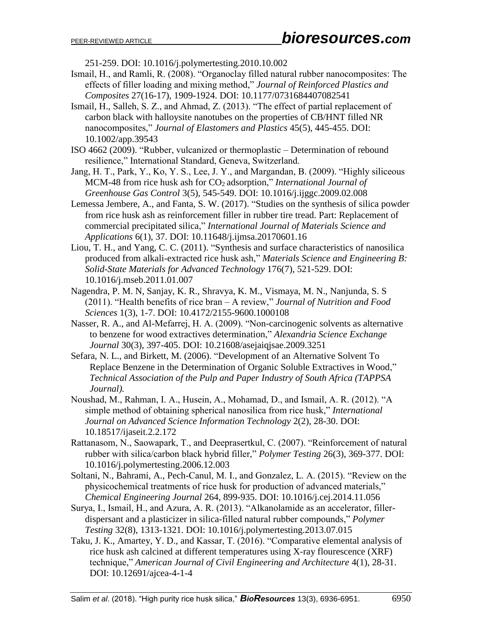251-259. DOI: 10.1016/j.polymertesting.2010.10.002

- Ismail, H., and Ramli, R. (2008). "Organoclay filled natural rubber nanocomposites: The effects of filler loading and mixing method," *Journal of Reinforced Plastics and Composites* 27(16-17), 1909-1924. DOI: 10.1177/0731684407082541
- Ismail, H., Salleh, S. Z., and Ahmad, Z. (2013). "The effect of partial replacement of carbon black with halloysite nanotubes on the properties of CB/HNT filled NR nanocomposites," *Journal of Elastomers and Plastics* 45(5), 445-455. DOI: 10.1002/app.39543
- ISO 4662 (2009). "Rubber, vulcanized or thermoplastic Determination of rebound resilience," International Standard, Geneva, Switzerland.
- Jang, H. T., Park, Y., Ko, Y. S., Lee, J. Y., and Margandan, B. (2009). "Highly siliceous MCM-48 from rice husk ash for CO2 adsorption," *International Journal of Greenhouse Gas Control* 3(5), 545-549. DOI: 10.1016/j.ijggc.2009.02.008
- Lemessa Jembere, A., and Fanta, S. W. (2017). "Studies on the synthesis of silica powder from rice husk ash as reinforcement filler in rubber tire tread. Part: Replacement of commercial precipitated silica," *International Journal of Materials Science and Applications* 6(1), 37. DOI: 10.11648/j.ijmsa.20170601.16
- Liou, T. H., and Yang, C. C. (2011). "Synthesis and surface characteristics of nanosilica produced from alkali-extracted rice husk ash," *Materials Science and Engineering B: Solid-State Materials for Advanced Technology* 176(7), 521-529. DOI: 10.1016/j.mseb.2011.01.007
- Nagendra, P. M. N, Sanjay, K. R., Shravya, K. M., Vismaya, M. N., Nanjunda, S. S (2011). "Health benefits of rice bran – A review," *Journal of Nutrition and Food Sciences* 1(3), 1-7. DOI: 10.4172/2155-9600.1000108
- Nasser, R. A., and Al-Mefarrej, H. A. (2009). "Non-carcinogenic solvents as alternative to benzene for wood extractives determination," *Alexandria Science Exchange Journal* 30(3), 397-405. DOI: 10.21608/asejaiqjsae.2009.3251
- Sefara, N. L., and Birkett, M. (2006). "Development of an Alternative Solvent To Replace Benzene in the Determination of Organic Soluble Extractives in Wood," *Technical Association of the Pulp and Paper Industry of South Africa (TAPPSA Journal).*
- Noushad, M., Rahman, I. A., Husein, A., Mohamad, D., and Ismail, A. R. (2012). "A simple method of obtaining spherical nanosilica from rice husk," *International Journal on Advanced Science Information Technology* 2(2), 28-30. DOI: 10.18517/ijaseit.2.2.172
- Rattanasom, N., Saowapark, T., and Deeprasertkul, C. (2007). "Reinforcement of natural rubber with silica/carbon black hybrid filler," *Polymer Testing* 26(3), 369-377. DOI: 10.1016/j.polymertesting.2006.12.003
- Soltani, N., Bahrami, A., Pech-Canul, M. I., and Gonzalez, L. A. (2015). "Review on the physicochemical treatments of rice husk for production of advanced materials," *Chemical Engineering Journal* 264, 899-935. DOI: 10.1016/j.cej.2014.11.056
- Surya, I., Ismail, H., and Azura, A. R. (2013). "Alkanolamide as an accelerator, fillerdispersant and a plasticizer in silica-filled natural rubber compounds," *Polymer Testing* 32(8), 1313-1321. DOI: 10.1016/j.polymertesting.2013.07.015
- Taku, J. K., Amartey, Y. D., and Kassar, T. (2016). "Comparative elemental analysis of rice husk ash calcined at different temperatures using X-ray flourescence (XRF) technique," *American Journal of Civil Engineering and Architecture* 4(1), 28-31. DOI: 10.12691/ajcea-4-1-4